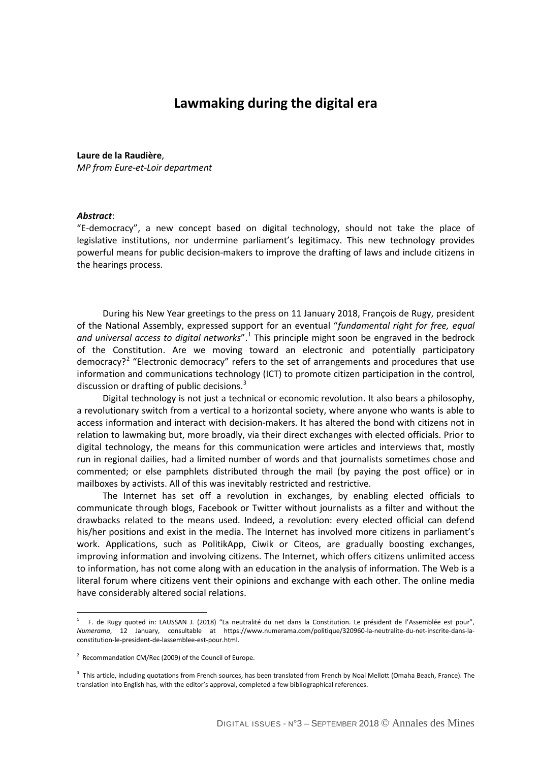# **Lawmaking during the digital era**

#### **Laure de la Raudière**,

*MP from Eure-et-Loir department*

#### *Abstract*:

 $\overline{a}$ 

"E-democracy", a new concept based on digital technology, should not take the place of legislative institutions, nor undermine parliament's legitimacy. This new technology provides powerful means for public decision-makers to improve the drafting of laws and include citizens in the hearings process.

During his New Year greetings to the press on 11 January 2018, François de Rugy, president of the National Assembly, expressed support for an eventual "*fundamental right for free, equal*  and universal access to digital networks".<sup>[1](#page-0-0)</sup> This principle might soon be engraved in the bedrock of the Constitution. Are we moving toward an electronic and potentially participatory democracy?<sup>[2](#page-0-1)</sup> "Electronic democracy" refers to the set of arrangements and procedures that use information and communications technology (ICT) to promote citizen participation in the control, discussion or drafting of public decisions.<sup>[3](#page-0-2)</sup>

Digital technology is not just a technical or economic revolution. It also bears a philosophy, a revolutionary switch from a vertical to a horizontal society, where anyone who wants is able to access information and interact with decision-makers. It has altered the bond with citizens not in relation to lawmaking but, more broadly, via their direct exchanges with elected officials. Prior to digital technology, the means for this communication were articles and interviews that, mostly run in regional dailies, had a limited number of words and that journalists sometimes chose and commented; or else pamphlets distributed through the mail (by paying the post office) or in mailboxes by activists. All of this was inevitably restricted and restrictive.

The Internet has set off a revolution in exchanges, by enabling elected officials to communicate through blogs, Facebook or Twitter without journalists as a filter and without the drawbacks related to the means used. Indeed, a revolution: every elected official can defend his/her positions and exist in the media. The Internet has involved more citizens in parliament's work. Applications, such as PolitikApp, Ciwik or Citeos, are gradually boosting exchanges, improving information and involving citizens. The Internet, which offers citizens unlimited access to information, has not come along with an education in the analysis of information. The Web is a literal forum where citizens vent their opinions and exchange with each other. The online media have considerably altered social relations.

<span id="page-0-0"></span><sup>&</sup>lt;sup>1</sup> F. de Rugy quoted in: LAUSSAN J. (2018) "La neutralité du net dans la Constitution. Le président de l'Assemblée est pour", *Numerama*, 12 January, consultable at https://www.numerama.com/politique/320960-la-neutralite-du-net-inscrite-dans-laconstitution-le-president-de-lassemblee-est-pour.html.

<span id="page-0-1"></span> $2$  Recommandation CM/Rec (2009) of the Council of Europe.

<span id="page-0-2"></span><sup>&</sup>lt;sup>3</sup> This article, including quotations from French sources, has been translated from French by Noal Mellott (Omaha Beach, France). The translation into English has, with the editor's approval, completed a few bibliographical references.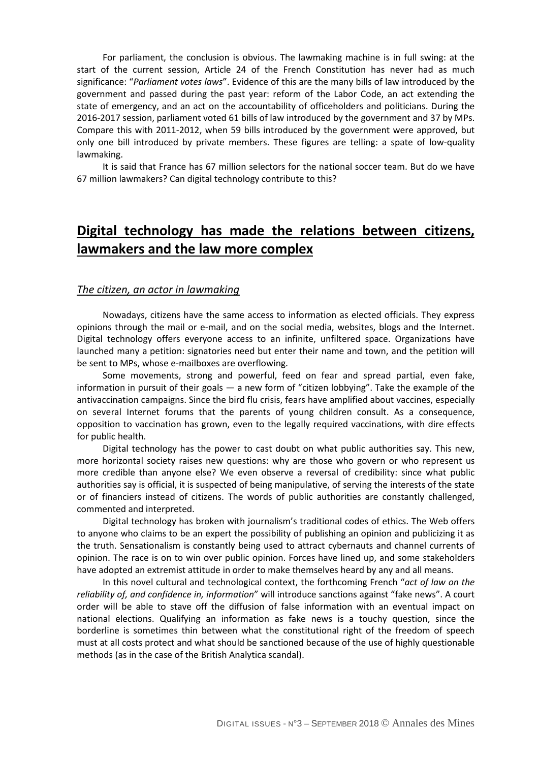For parliament, the conclusion is obvious. The lawmaking machine is in full swing: at the start of the current session, Article 24 of the French Constitution has never had as much significance: "*Parliament votes laws*". Evidence of this are the many bills of law introduced by the government and passed during the past year: reform of the Labor Code, an act extending the state of emergency, and an act on the accountability of officeholders and politicians. During the 2016-2017 session, parliament voted 61 bills of law introduced by the government and 37 by MPs. Compare this with 2011-2012, when 59 bills introduced by the government were approved, but only one bill introduced by private members. These figures are telling: a spate of low-quality lawmaking.

It is said that France has 67 million selectors for the national soccer team. But do we have 67 million lawmakers? Can digital technology contribute to this?

# **Digital technology has made the relations between citizens, lawmakers and the law more complex**

#### *The citizen, an actor in lawmaking*

Nowadays, citizens have the same access to information as elected officials. They express opinions through the mail or e-mail, and on the social media, websites, blogs and the Internet. Digital technology offers everyone access to an infinite, unfiltered space. Organizations have launched many a petition: signatories need but enter their name and town, and the petition will be sent to MPs, whose e-mailboxes are overflowing.

Some movements, strong and powerful, feed on fear and spread partial, even fake, information in pursuit of their goals — a new form of "citizen lobbying". Take the example of the antivaccination campaigns. Since the bird flu crisis, fears have amplified about vaccines, especially on several Internet forums that the parents of young children consult. As a consequence, opposition to vaccination has grown, even to the legally required vaccinations, with dire effects for public health.

Digital technology has the power to cast doubt on what public authorities say. This new, more horizontal society raises new questions: why are those who govern or who represent us more credible than anyone else? We even observe a reversal of credibility: since what public authorities say is official, it is suspected of being manipulative, of serving the interests of the state or of financiers instead of citizens. The words of public authorities are constantly challenged, commented and interpreted.

Digital technology has broken with journalism's traditional codes of ethics. The Web offers to anyone who claims to be an expert the possibility of publishing an opinion and publicizing it as the truth. Sensationalism is constantly being used to attract cybernauts and channel currents of opinion. The race is on to win over public opinion. Forces have lined up, and some stakeholders have adopted an extremist attitude in order to make themselves heard by any and all means.

In this novel cultural and technological context, the forthcoming French "*act of law on the reliability of, and confidence in, information*" will introduce sanctions against "fake news". A court order will be able to stave off the diffusion of false information with an eventual impact on national elections. Qualifying an information as fake news is a touchy question, since the borderline is sometimes thin between what the constitutional right of the freedom of speech must at all costs protect and what should be sanctioned because of the use of highly questionable methods (as in the case of the British Analytica scandal).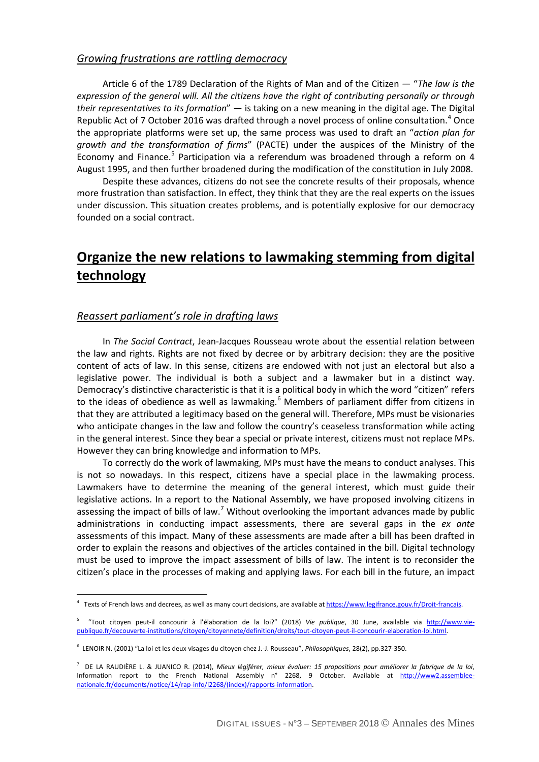### *Growing frustrations are rattling democracy*

Article 6 of the 1789 Declaration of the Rights of Man and of the Citizen — "*The law is the expression of the general will. All the citizens have the right of contributing personally or through their representatives to its formation*" — is taking on a new meaning in the digital age. The Digital Republic Act of 7 October 2016 was drafted through a novel process of online consultation.<sup>[4](#page-2-0)</sup> Once the appropriate platforms were set up, the same process was used to draft an "*action plan for growth and the transformation of firms*" (PACTE) under the auspices of the Ministry of the Economy and Finance.<sup>[5](#page-2-1)</sup> Participation via a referendum was broadened through a reform on 4 August 1995, and then further broadened during the modification of the constitution in July 2008.

Despite these advances, citizens do not see the concrete results of their proposals, whence more frustration than satisfaction. In effect, they think that they are the real experts on the issues under discussion. This situation creates problems, and is potentially explosive for our democracy founded on a social contract.

# **Organize the new relations to lawmaking stemming from digital technology**

## *Reassert parliament's role in drafting laws*

 $\overline{a}$ 

In *The Social Contract*, Jean-Jacques Rousseau wrote about the essential relation between the law and rights. Rights are not fixed by decree or by arbitrary decision: they are the positive content of acts of law. In this sense, citizens are endowed with not just an electoral but also a legislative power. The individual is both a subject and a lawmaker but in a distinct way. Democracy's distinctive characteristic is that it is a political body in which the word "citizen" refers to the ideas of obedience as well as lawmaking. $6$  Members of parliament differ from citizens in that they are attributed a legitimacy based on the general will. Therefore, MPs must be visionaries who anticipate changes in the law and follow the country's ceaseless transformation while acting in the general interest. Since they bear a special or private interest, citizens must not replace MPs. However they can bring knowledge and information to MPs.

To correctly do the work of lawmaking, MPs must have the means to conduct analyses. This is not so nowadays. In this respect, citizens have a special place in the lawmaking process. Lawmakers have to determine the meaning of the general interest, which must guide their legislative actions. In a report to the National Assembly, we have proposed involving citizens in assessing the impact of bills of law.<sup>[7](#page-2-3)</sup> Without overlooking the important advances made by public administrations in conducting impact assessments, there are several gaps in the *ex ante* assessments of this impact. Many of these assessments are made after a bill has been drafted in order to explain the reasons and objectives of the articles contained in the bill. Digital technology must be used to improve the impact assessment of bills of law. The intent is to reconsider the citizen's place in the processes of making and applying laws. For each bill in the future, an impact

<sup>&</sup>lt;sup>4</sup> Texts of French laws and decrees, as well as many court decisions, are available at https://www.legifrance.gouv.fr/Droit-francais.

<span id="page-2-1"></span><span id="page-2-0"></span><sup>5</sup> "Tout citoyen peut-il concourir à l'élaboration de la loi?" (2018) *Vie publique*, 30 June, available via [http://www.vie](http://www.vie-publique.fr/decouverte-institutions/citoyen/citoyennete/definition/droits/tout-citoyen-peut-il-concourir-elaboration-loi.html)[publique.fr/decouverte-institutions/citoyen/citoyennete/definition/droits/tout-citoyen-peut-il-concourir-elaboration-loi.html.](http://www.vie-publique.fr/decouverte-institutions/citoyen/citoyennete/definition/droits/tout-citoyen-peut-il-concourir-elaboration-loi.html) 

<span id="page-2-2"></span><sup>6</sup> LENOIR N. (2001) "La loi et les deux visages du citoyen chez J.-J. Rousseau", *Philosophiques*, 28(2), pp.327-350.

<span id="page-2-3"></span><sup>7</sup> DE LA RAUDIÈRE L. & JUANICO R. (2014), *Mieux légiférer, mieux évaluer: 15 propositions pour améliorer la fabrique de la loi*, Information report to the French National Assembly n° 2268, 9 October. Available at [http://www2.assemblee](http://www2.assemblee-nationale.fr/documents/notice/14/rap-info/i2268/(index)/rapports-information)[nationale.fr/documents/notice/14/rap-info/i2268/\(index\)/rapports-information.](http://www2.assemblee-nationale.fr/documents/notice/14/rap-info/i2268/(index)/rapports-information)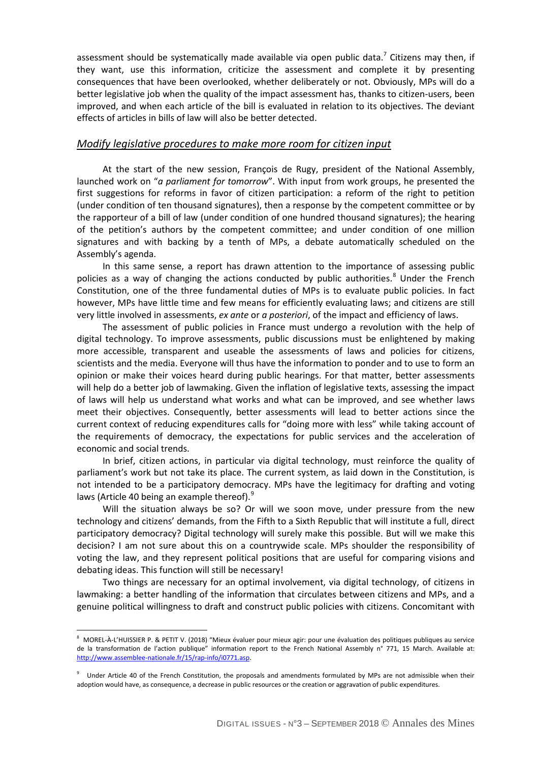assessment should be systematically made available via open public data.<sup>7</sup> Citizens may then, if they want, use this information, criticize the assessment and complete it by presenting consequences that have been overlooked, whether deliberately or not. Obviously, MPs will do a better legislative job when the quality of the impact assessment has, thanks to citizen-users, been improved, and when each article of the bill is evaluated in relation to its objectives. The deviant effects of articles in bills of law will also be better detected.

### *Modify legislative procedures to make more room for citizen input*

At the start of the new session, François de Rugy, president of the National Assembly, launched work on "*a parliament for tomorrow*". With input from work groups, he presented the first suggestions for reforms in favor of citizen participation: a reform of the right to petition (under condition of ten thousand signatures), then a response by the competent committee or by the rapporteur of a bill of law (under condition of one hundred thousand signatures); the hearing of the petition's authors by the competent committee; and under condition of one million signatures and with backing by a tenth of MPs, a debate automatically scheduled on the Assembly's agenda.

In this same sense, a report has drawn attention to the importance of assessing public policies as a way of changing the actions conducted by public authorities.<sup>[8](#page-3-0)</sup> Under the French Constitution, one of the three fundamental duties of MPs is to evaluate public policies. In fact however, MPs have little time and few means for efficiently evaluating laws; and citizens are still very little involved in assessments, *ex ante* or *a posteriori*, of the impact and efficiency of laws.

The assessment of public policies in France must undergo a revolution with the help of digital technology. To improve assessments, public discussions must be enlightened by making more accessible, transparent and useable the assessments of laws and policies for citizens, scientists and the media. Everyone will thus have the information to ponder and to use to form an opinion or make their voices heard during public hearings. For that matter, better assessments will help do a better job of lawmaking. Given the inflation of legislative texts, assessing the impact of laws will help us understand what works and what can be improved, and see whether laws meet their objectives. Consequently, better assessments will lead to better actions since the current context of reducing expenditures calls for "doing more with less" while taking account of the requirements of democracy, the expectations for public services and the acceleration of economic and social trends.

In brief, citizen actions, in particular via digital technology, must reinforce the quality of parliament's work but not take its place. The current system, as laid down in the Constitution, is not intended to be a participatory democracy. MPs have the legitimacy for drafting and voting laws (Article 40 being an example thereof).<sup>[9](#page-3-1)</sup>

Will the situation always be so? Or will we soon move, under pressure from the new technology and citizens' demands, from the Fifth to a Sixth Republic that will institute a full, direct participatory democracy? Digital technology will surely make this possible. But will we make this decision? I am not sure about this on a countrywide scale. MPs shoulder the responsibility of voting the law, and they represent political positions that are useful for comparing visions and debating ideas. This function will still be necessary!

Two things are necessary for an optimal involvement, via digital technology, of citizens in lawmaking: a better handling of the information that circulates between citizens and MPs, and a genuine political willingness to draft and construct public policies with citizens. Concomitant with

<span id="page-3-0"></span>enties<br>8 MOREL-À-L'HUISSIER P. & PETIT V. (2018) "Mieux évaluer pour mieux agir: pour une évaluation des politiques publiques au service de la transformation de l'action publique" information report to the French National Assembly n° 771, 15 March. Available at: [http://www.assemblee-nationale.fr/15/rap-info/i0771.asp.](http://www.assemblee-nationale.fr/15/rap-info/i0771.asp) 

<span id="page-3-1"></span><sup>9</sup> Under Article 40 of the French Constitution, the proposals and amendments formulated by MPs are not admissible when their adoption would have, as consequence, a decrease in public resources or the creation or aggravation of public expenditures.